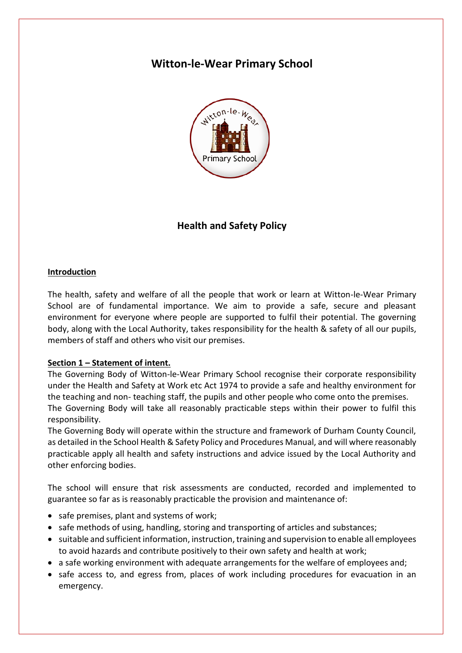# **Witton-le-Wear Primary School**



## **Health and Safety Policy**

#### **Introduction**

The health, safety and welfare of all the people that work or learn at Witton-le-Wear Primary School are of fundamental importance. We aim to provide a safe, secure and pleasant environment for everyone where people are supported to fulfil their potential. The governing body, along with the Local Authority, takes responsibility for the health & safety of all our pupils, members of staff and others who visit our premises.

#### **Section 1 – Statement of intent.**

The Governing Body of Witton-le-Wear Primary School recognise their corporate responsibility under the Health and Safety at Work etc Act 1974 to provide a safe and healthy environment for the teaching and non- teaching staff, the pupils and other people who come onto the premises. The Governing Body will take all reasonably practicable steps within their power to fulfil this responsibility.

The Governing Body will operate within the structure and framework of Durham County Council, as detailed in the School Health & Safety Policy and Procedures Manual, and will where reasonably practicable apply all health and safety instructions and advice issued by the Local Authority and other enforcing bodies.

The school will ensure that risk assessments are conducted, recorded and implemented to guarantee so far as is reasonably practicable the provision and maintenance of:

- safe premises, plant and systems of work;
- safe methods of using, handling, storing and transporting of articles and substances;
- suitable and sufficient information, instruction, training and supervision to enable all employees to avoid hazards and contribute positively to their own safety and health at work;
- a safe working environment with adequate arrangements for the welfare of employees and;
- safe access to, and egress from, places of work including procedures for evacuation in an emergency.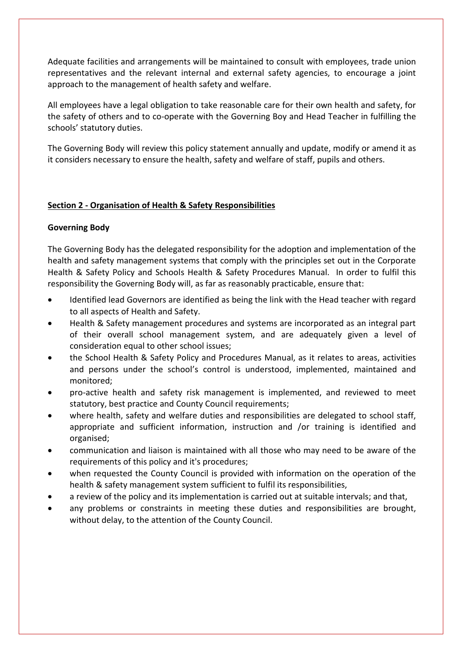Adequate facilities and arrangements will be maintained to consult with employees, trade union representatives and the relevant internal and external safety agencies, to encourage a joint approach to the management of health safety and welfare.

All employees have a legal obligation to take reasonable care for their own health and safety, for the safety of others and to co-operate with the Governing Boy and Head Teacher in fulfilling the schools' statutory duties.

The Governing Body will review this policy statement annually and update, modify or amend it as it considers necessary to ensure the health, safety and welfare of staff, pupils and others.

## **Section 2 - Organisation of Health & Safety Responsibilities**

#### **Governing Body**

The Governing Body has the delegated responsibility for the adoption and implementation of the health and safety management systems that comply with the principles set out in the Corporate Health & Safety Policy and Schools Health & Safety Procedures Manual. In order to fulfil this responsibility the Governing Body will, as far as reasonably practicable, ensure that:

- Identified lead Governors are identified as being the link with the Head teacher with regard to all aspects of Health and Safety.
- Health & Safety management procedures and systems are incorporated as an integral part of their overall school management system, and are adequately given a level of consideration equal to other school issues;
- the School Health & Safety Policy and Procedures Manual, as it relates to areas, activities and persons under the school's control is understood, implemented, maintained and monitored;
- pro-active health and safety risk management is implemented, and reviewed to meet statutory, best practice and County Council requirements;
- where health, safety and welfare duties and responsibilities are delegated to school staff, appropriate and sufficient information, instruction and /or training is identified and organised;
- communication and liaison is maintained with all those who may need to be aware of the requirements of this policy and it's procedures;
- when requested the County Council is provided with information on the operation of the health & safety management system sufficient to fulfil its responsibilities,
- a review of the policy and its implementation is carried out at suitable intervals; and that,
- any problems or constraints in meeting these duties and responsibilities are brought, without delay, to the attention of the County Council.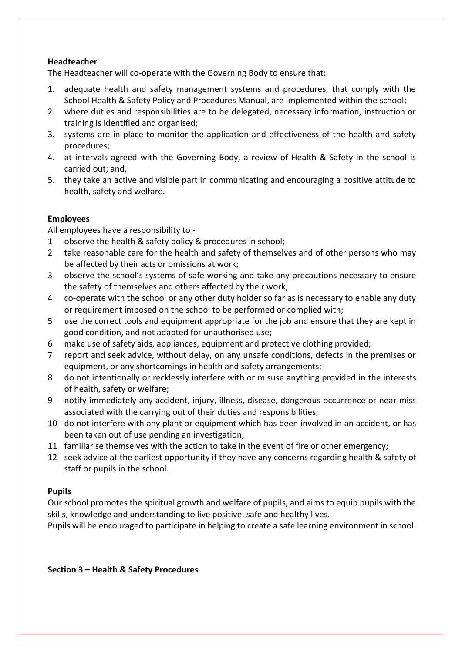## **Headteacher**

The Headteacher will co-operate with the Governing Body to ensure that:

- 1. adequate health and safety management systems and procedures, that comply with the School Health & Safety Policy and Procedures Manual, are implemented within the school;
- 2. where duties and responsibilities are to be delegated, necessary information, instruction or training is identified and organised;
- 3. systems are in place to monitor the application and effectiveness of the health and safety procedures;
- 4. at intervals agreed with the Governing Body, a review of Health & Safety in the school is carried out; and,
- 5. they take an active and visible part in communicating and encouraging a positive attitude to health, safety and welfare.

## **Employees**

All employees have a responsibility to -

- 1 observe the health & safety policy & procedures in school;
- 2 take reasonable care for the health and safety of themselves and of other persons who may be affected by their acts or omissions at work;
- 3 observe the school's systems of safe working and take any precautions necessary to ensure the safety of themselves and others affected by their work;
- 4 co-operate with the school or any other duty holder so far as is necessary to enable any duty or requirement imposed on the school to be performed or complied with;
- 5 use the correct tools and equipment appropriate for the job and ensure that they are kept in good condition, and not adapted for unauthorised use;
- 6 make use of safety aids, appliances, equipment and protective clothing provided;
- 7 report and seek advice, without delay, on any unsafe conditions, defects in the premises or equipment, or any shortcomings in health and safety arrangements;
- 8 do not intentionally or recklessly interfere with or misuse anything provided in the interests of health, safety or welfare;
- 9 notify immediately any accident, injury, illness, disease, dangerous occurrence or near miss associated with the carrying out of their duties and responsibilities;
- 10 do not interfere with any plant or equipment which has been involved in an accident, or has been taken out of use pending an investigation;
- 11 familiarise themselves with the action to take in the event of fire or other emergency;
- 12 seek advice at the earliest opportunity if they have any concerns regarding health & safety of staff or pupils in the school.

## **Pupils**

Our school promotes the spiritual growth and welfare of pupils, and aims to equip pupils with the skills, knowledge and understanding to live positive, safe and healthy lives.

Pupils will be encouraged to participate in helping to create a safe learning environment in school.

## **Section 3 – Health & Safety Procedures**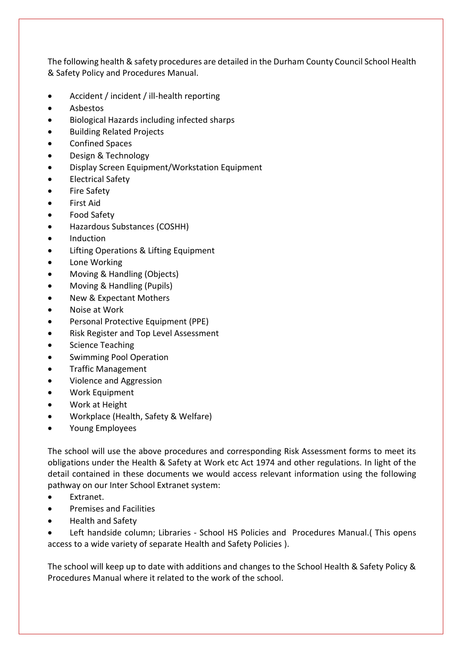The following health & safety procedures are detailed in the Durham County Council School Health & Safety Policy and Procedures Manual.

- Accident / incident / ill-health reporting
- Asbestos
- Biological Hazards including infected sharps
- Building Related Projects
- Confined Spaces
- Design & Technology
- Display Screen Equipment/Workstation Equipment
- Electrical Safety
- Fire Safety
- First Aid
- Food Safety
- Hazardous Substances (COSHH)
- Induction
- Lifting Operations & Lifting Equipment
- Lone Working
- Moving & Handling (Objects)
- Moving & Handling (Pupils)
- New & Expectant Mothers
- Noise at Work
- Personal Protective Equipment (PPE)
- Risk Register and Top Level Assessment
- Science Teaching
- Swimming Pool Operation
- Traffic Management
- Violence and Aggression
- Work Equipment
- Work at Height
- Workplace (Health, Safety & Welfare)
- Young Employees

The school will use the above procedures and corresponding Risk Assessment forms to meet its obligations under the Health & Safety at Work etc Act 1974 and other regulations. In light of the detail contained in these documents we would access relevant information using the following pathway on our Inter School Extranet system:

- Extranet.
- Premises and Facilities
- Health and Safety

• Left handside column; Libraries - School HS Policies and Procedures Manual.( This opens access to a wide variety of separate Health and Safety Policies ).

The school will keep up to date with additions and changes to the School Health & Safety Policy & Procedures Manual where it related to the work of the school.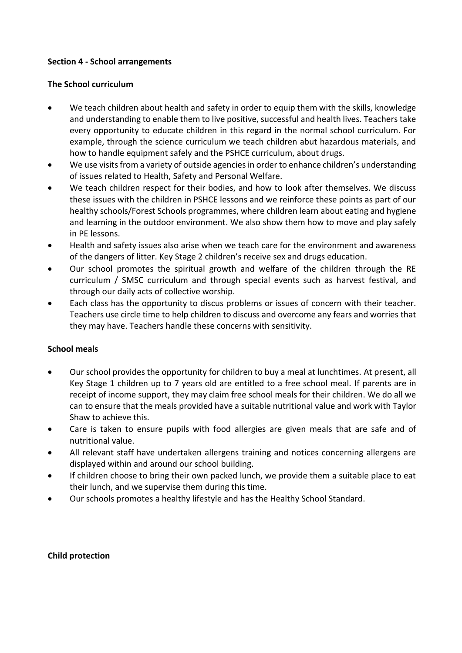#### **Section 4 - School arrangements**

#### **The School curriculum**

- We teach children about health and safety in order to equip them with the skills, knowledge and understanding to enable them to live positive, successful and health lives. Teachers take every opportunity to educate children in this regard in the normal school curriculum. For example, through the science curriculum we teach children abut hazardous materials, and how to handle equipment safely and the PSHCE curriculum, about drugs.
- We use visits from a variety of outside agencies in order to enhance children's understanding of issues related to Health, Safety and Personal Welfare.
- We teach children respect for their bodies, and how to look after themselves. We discuss these issues with the children in PSHCE lessons and we reinforce these points as part of our healthy schools/Forest Schools programmes, where children learn about eating and hygiene and learning in the outdoor environment. We also show them how to move and play safely in PE lessons.
- Health and safety issues also arise when we teach care for the environment and awareness of the dangers of litter. Key Stage 2 children's receive sex and drugs education.
- Our school promotes the spiritual growth and welfare of the children through the RE curriculum / SMSC curriculum and through special events such as harvest festival, and through our daily acts of collective worship.
- Each class has the opportunity to discus problems or issues of concern with their teacher. Teachers use circle time to help children to discuss and overcome any fears and worries that they may have. Teachers handle these concerns with sensitivity.

## **School meals**

- Our school provides the opportunity for children to buy a meal at lunchtimes. At present, all Key Stage 1 children up to 7 years old are entitled to a free school meal. If parents are in receipt of income support, they may claim free school meals for their children. We do all we can to ensure that the meals provided have a suitable nutritional value and work with Taylor Shaw to achieve this.
- Care is taken to ensure pupils with food allergies are given meals that are safe and of nutritional value.
- All relevant staff have undertaken allergens training and notices concerning allergens are displayed within and around our school building.
- If children choose to bring their own packed lunch, we provide them a suitable place to eat their lunch, and we supervise them during this time.
- Our schools promotes a healthy lifestyle and has the Healthy School Standard.

#### **Child protection**